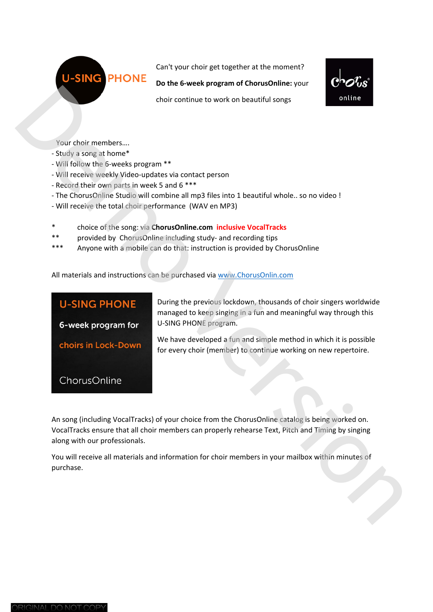Can't your choir get together at the moment?

**Do the 6‐week program of ChorusOnline:** your



- Your choir members….
- ‐ Study a song at home\*
- ‐ Will follow the 6‐weeks program \*\*
- ‐ Will receive weekly Video‐updates via contact person
- ‐ Record their own parts in week 5 and 6 \*\*\*

**PHONE** 

- ‐ The ChorusOnline Studio will combine all mp3 files into 1 beautiful whole.. so no video !
- ‐ Will receive the total choir performance (WAV en MP3)
- \* choice of the song: via **ChorusOnline.com inclusive VocalTracks**
- \*\* provided by ChorusOnline including study‐ and recording tips
- \*\*\* Anyone with a mobile can do that: instruction is provided by ChorusOnline

|                                                         | Do the o-week program or chorusomme. your                                                          | $\bullet$ vo |
|---------------------------------------------------------|----------------------------------------------------------------------------------------------------|--------------|
|                                                         | choir continue to work on beautiful songs                                                          | online       |
|                                                         |                                                                                                    |              |
|                                                         |                                                                                                    |              |
| Your choir members                                      |                                                                                                    |              |
| - Study a song at home*                                 |                                                                                                    |              |
| - Will follow the 6-weeks program **                    |                                                                                                    |              |
| - Will receive weekly Video-updates via contact person  |                                                                                                    |              |
| - Record their own parts in week 5 and 6 ***            |                                                                                                    |              |
|                                                         | - The ChorusOnline Studio will combine all mp3 files into 1 beautiful whole so no video !          |              |
| - Will receive the total choir performance (WAV en MP3) |                                                                                                    |              |
| ∗                                                       | choice of the song: via ChorusOnline.com inclusive VocalTracks                                     |              |
| $***$                                                   | provided by ChorusOnline including study- and recording tips                                       |              |
| ***                                                     | Anyone with a mobile can do that: instruction is provided by ChorusOnline                          |              |
|                                                         |                                                                                                    |              |
|                                                         | All materials and instructions can be purchased via www.ChorusOnlin.com                            |              |
|                                                         |                                                                                                    |              |
|                                                         |                                                                                                    |              |
| <b>U-SING PHONE</b>                                     | During the previous lockdown, thousands of choir singers worldwide                                 |              |
|                                                         | managed to keep singing in a fun and meaningful way through this                                   |              |
| 6-week program for                                      | U-SING PHONE program.                                                                              |              |
|                                                         | We have developed a fun and simple method in which it is possible                                  |              |
| choirs in Lock-Down                                     | for every choir (member) to continue working on new repertoire.                                    |              |
|                                                         |                                                                                                    |              |
|                                                         |                                                                                                    |              |
| ChorusOnline                                            |                                                                                                    |              |
|                                                         |                                                                                                    |              |
|                                                         |                                                                                                    |              |
|                                                         | An song (including VocalTracks) of your choice from the ChorusOnline catalog is being worked on.   |              |
|                                                         | VocalTracks ensure that all choir members can properly rehearse Text, Pitch and Timing by singing  |              |
| along with our professionals.                           |                                                                                                    |              |
|                                                         |                                                                                                    |              |
|                                                         | You will receive all materials and information for choir members in your mailbox within minutes of |              |
| purchase.                                               |                                                                                                    |              |
|                                                         |                                                                                                    |              |
|                                                         |                                                                                                    |              |
|                                                         |                                                                                                    |              |
|                                                         |                                                                                                    |              |